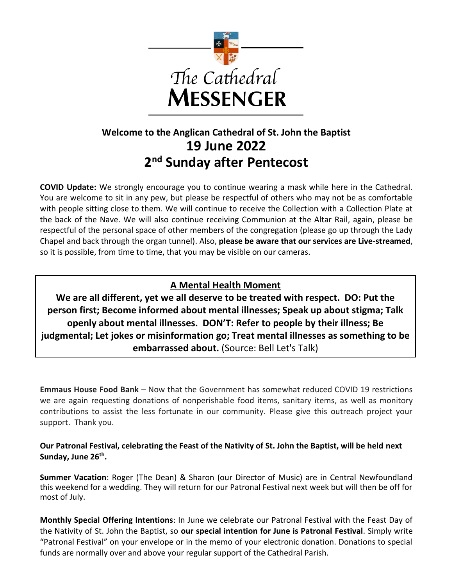

# **Welcome to the Anglican Cathedral of St. John the Baptist 19 June 2022 2 nd Sunday after Pentecost**

**COVID Update:** We strongly encourage you to continue wearing a mask while here in the Cathedral. You are welcome to sit in any pew, but please be respectful of others who may not be as comfortable with people sitting close to them. We will continue to receive the Collection with a Collection Plate at the back of the Nave. We will also continue receiving Communion at the Altar Rail, again, please be respectful of the personal space of other members of the congregation (please go up through the Lady Chapel and back through the organ tunnel). Also, **please be aware that our services are Live-streamed**, so it is possible, from time to time, that you may be visible on our cameras.

# **A Mental Health Moment**

**We are all different, yet we all deserve to be treated with respect. DO: Put the person first; Become informed about mental illnesses; Speak up about stigma; Talk openly about mental illnesses. DON'T: Refer to people by their illness; Be judgmental; Let jokes or misinformation go; Treat mental illnesses as something to be embarrassed about.** (Source: Bell Let's Talk)

**Emmaus House Food Bank** – Now that the Government has somewhat reduced COVID 19 restrictions we are again requesting donations of nonperishable food items, sanitary items, as well as monitory contributions to assist the less fortunate in our community. Please give this outreach project your support. Thank you.

**Our Patronal Festival, celebrating the Feast of the Nativity of St. John the Baptist, will be held next Sunday, June 26th .**

**Summer Vacation**: Roger (The Dean) & Sharon (our Director of Music) are in Central Newfoundland this weekend for a wedding. They will return for our Patronal Festival next week but will then be off for most of July.

**Monthly Special Offering Intentions**: In June we celebrate our Patronal Festival with the Feast Day of the Nativity of St. John the Baptist, so **our special intention for June is Patronal Festival**. Simply write "Patronal Festival" on your envelope or in the memo of your electronic donation. Donations to special funds are normally over and above your regular support of the Cathedral Parish.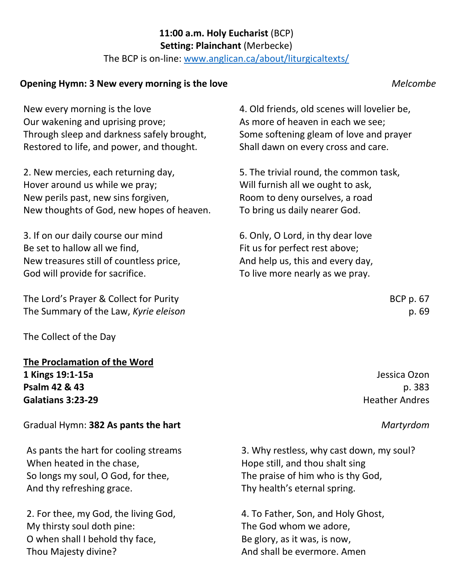#### **11:00 a.m. Holy Eucharist** (BCP) **Setting: Plainchant** (Merbecke)

The BCP is on-line: [www.anglican.ca/about/liturgicaltexts/](http://www.anglican.ca/about/liturgicaltexts/)

## **Opening Hymn: 3 New every morning is the love** *Melcombe*

New every morning is the love Our wakening and uprising prove; Through sleep and darkness safely brought, Restored to life, and power, and thought.

2. New mercies, each returning day, Hover around us while we pray; New perils past, new sins forgiven, New thoughts of God, new hopes of heaven.

3. If on our daily course our mind Be set to hallow all we find, New treasures still of countless price, God will provide for sacrifice.

The Lord's Prayer & Collect for Purity BCP p. 67 The Summary of the Law, *Kyrie eleison* p. 69

The Collect of the Day

**The Proclamation of the Word 1 Kings 19:1-15a** Jessica Ozon **Psalm 42 & 43** p. 383 **Galatians 3:23-29** Heather Andres

### Gradual Hymn: **382 As pants the hart** *Martyrdom*

As pants the hart for cooling streams When heated in the chase, So longs my soul, O God, for thee, And thy refreshing grace.

2. For thee, my God, the living God, My thirsty soul doth pine: O when shall I behold thy face, Thou Majesty divine?

4. Old friends, old scenes will lovelier be, As more of heaven in each we see; Some softening gleam of love and prayer Shall dawn on every cross and care.

5. The trivial round, the common task, Will furnish all we ought to ask, Room to deny ourselves, a road To bring us daily nearer God.

6. Only, O Lord, in thy dear love Fit us for perfect rest above; And help us, this and every day, To live more nearly as we pray.

3. Why restless, why cast down, my soul? Hope still, and thou shalt sing The praise of him who is thy God, Thy health's eternal spring.

4. To Father, Son, and Holy Ghost, The God whom we adore, Be glory, as it was, is now, And shall be evermore. Amen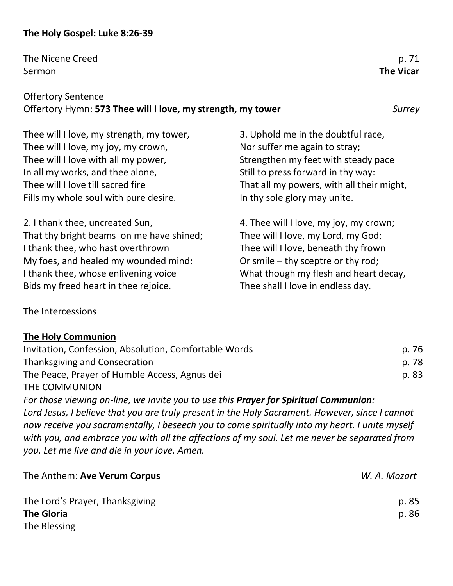# **The Holy Gospel: Luke 8:26-39**

The Nicene Creed p. 71 Sermon **The Vicar**

# Offertory Sentence Offertory Hymn: **573 Thee will I love, my strength, my tower** *Surrey*

Thee will I love, my strength, my tower, Thee will I love, my joy, my crown, Thee will I love with all my power, In all my works, and thee alone, Thee will I love till sacred fire Fills my whole soul with pure desire.

2. I thank thee, uncreated Sun, That thy bright beams on me have shined; I thank thee, who hast overthrown My foes, and healed my wounded mind: I thank thee, whose enlivening voice Bids my freed heart in thee rejoice.

3. Uphold me in the doubtful race, Nor suffer me again to stray; Strengthen my feet with steady pace Still to press forward in thy way: That all my powers, with all their might, In thy sole glory may unite.

4. Thee will I love, my joy, my crown; Thee will I love, my Lord, my God; Thee will I love, beneath thy frown Or smile – thy sceptre or thy rod; What though my flesh and heart decay, Thee shall I love in endless day.

The Intercessions

### **The Holy Communion**

| Invitation, Confession, Absolution, Comfortable Words | p. 76 |
|-------------------------------------------------------|-------|
| Thanksgiving and Consecration                         | p. 78 |
| The Peace, Prayer of Humble Access, Agnus dei         | p. 83 |
| THE COMMUNION                                         |       |

*For those viewing on-line, we invite you to use this Prayer for Spiritual Communion: Lord Jesus, I believe that you are truly present in the Holy Sacrament. However, since I cannot now receive you sacramentally, I beseech you to come spiritually into my heart. I unite myself with you, and embrace you with all the affections of my soul. Let me never be separated from you. Let me live and die in your love. Amen.*

| The Anthem: Ave Verum Corpus    | W. A. Mozart |
|---------------------------------|--------------|
| The Lord's Prayer, Thanksgiving | p. 85        |
| <b>The Gloria</b>               | p. 86        |
| The Blessing                    |              |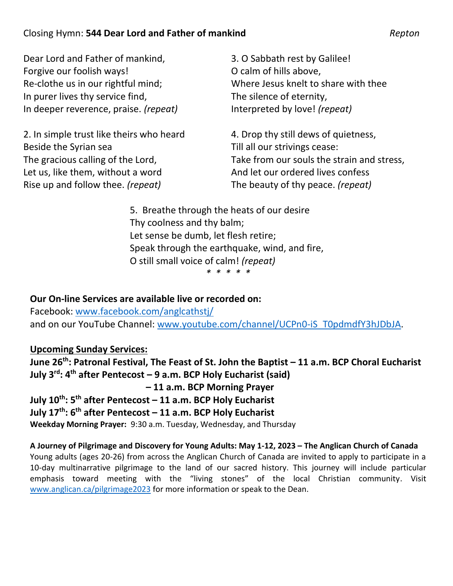# Closing Hymn: **544 Dear Lord and Father of mankind** *Repton*

Dear Lord and Father of mankind, Forgive our foolish ways! Re-clothe us in our rightful mind; In purer lives thy service find, In deeper reverence, praise. *(repeat)*

2. In simple trust like theirs who heard Beside the Syrian sea The gracious calling of the Lord, Let us, like them, without a word Rise up and follow thee. *(repeat)*

3. O Sabbath rest by Galilee! O calm of hills above, Where Jesus knelt to share with thee The silence of eternity, Interpreted by love! *(repeat)*

4. Drop thy still dews of quietness, Till all our strivings cease: Take from our souls the strain and stress, And let our ordered lives confess The beauty of thy peace. *(repeat)*

5. Breathe through the heats of our desire Thy coolness and thy balm; Let sense be dumb, let flesh retire; Speak through the earthquake, wind, and fire, O still small voice of calm! *(repeat)*

*\* \* \* \* \**

**Our On-line Services are available live or recorded on:**

Facebook: [www.facebook.com/anglcathstj/](http://www.facebook.com/anglcathstj/) and on our YouTube Channel: [www.youtube.com/channel/UCPn0-iS\\_T0pdmdfY3hJDbJA.](http://www.youtube.com/channel/UCPn0-iS_T0pdmdfY3hJDbJA)

# **Upcoming Sunday Services:**

**June 26th: Patronal Festival, The Feast of St. John the Baptist – 11 a.m. BCP Choral Eucharist July 3rd: 4th after Pentecost – 9 a.m. BCP Holy Eucharist (said) – 11 a.m. BCP Morning Prayer**

**July 10th: 5th after Pentecost – 11 a.m. BCP Holy Eucharist**

**July 17th: 6th after Pentecost – 11 a.m. BCP Holy Eucharist**

**Weekday Morning Prayer:** 9:30 a.m. Tuesday, Wednesday, and Thursday

**A Journey of Pilgrimage and Discovery for Young Adults: May 1-12, 2023 – The Anglican Church of Canada** Young adults (ages 20-26) from across the Anglican Church of Canada are invited to apply to participate in a 10-day multinarrative pilgrimage to the land of our sacred history. This journey will include particular emphasis toward meeting with the "living stones" of the local Christian community. Visit [www.anglican.ca/pilgrimage2023](http://www.anglican.ca/pilgrimage2023) for more information or speak to the Dean.